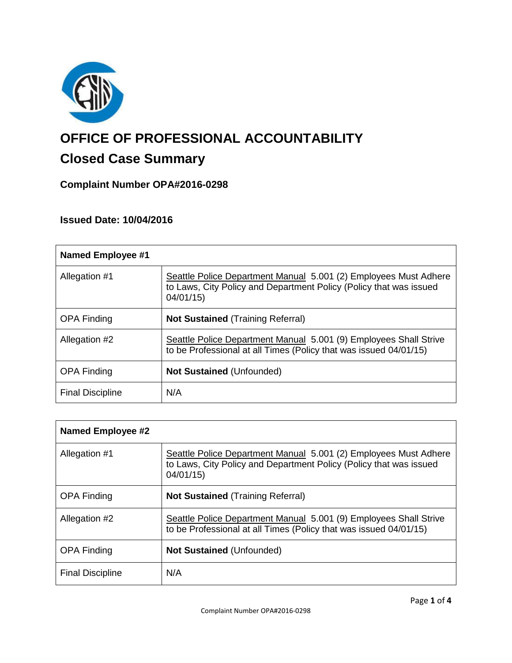

# **OFFICE OF PROFESSIONAL ACCOUNTABILITY**

## **Closed Case Summary**

### **Complaint Number OPA#2016-0298**

#### **Issued Date: 10/04/2016**

| <b>Named Employee #1</b> |                                                                                                                                                    |
|--------------------------|----------------------------------------------------------------------------------------------------------------------------------------------------|
| Allegation #1            | Seattle Police Department Manual 5.001 (2) Employees Must Adhere<br>to Laws, City Policy and Department Policy (Policy that was issued<br>04/01/15 |
| <b>OPA Finding</b>       | <b>Not Sustained</b> (Training Referral)                                                                                                           |
| Allegation #2            | Seattle Police Department Manual 5.001 (9) Employees Shall Strive<br>to be Professional at all Times (Policy that was issued 04/01/15)             |
| <b>OPA Finding</b>       | <b>Not Sustained (Unfounded)</b>                                                                                                                   |
| <b>Final Discipline</b>  | N/A                                                                                                                                                |

| Named Employee #2       |                                                                                                                                                    |
|-------------------------|----------------------------------------------------------------------------------------------------------------------------------------------------|
| Allegation #1           | Seattle Police Department Manual 5.001 (2) Employees Must Adhere<br>to Laws, City Policy and Department Policy (Policy that was issued<br>04/01/15 |
| <b>OPA Finding</b>      | <b>Not Sustained (Training Referral)</b>                                                                                                           |
| Allegation #2           | Seattle Police Department Manual 5.001 (9) Employees Shall Strive<br>to be Professional at all Times (Policy that was issued 04/01/15)             |
| <b>OPA Finding</b>      | <b>Not Sustained (Unfounded)</b>                                                                                                                   |
| <b>Final Discipline</b> | N/A                                                                                                                                                |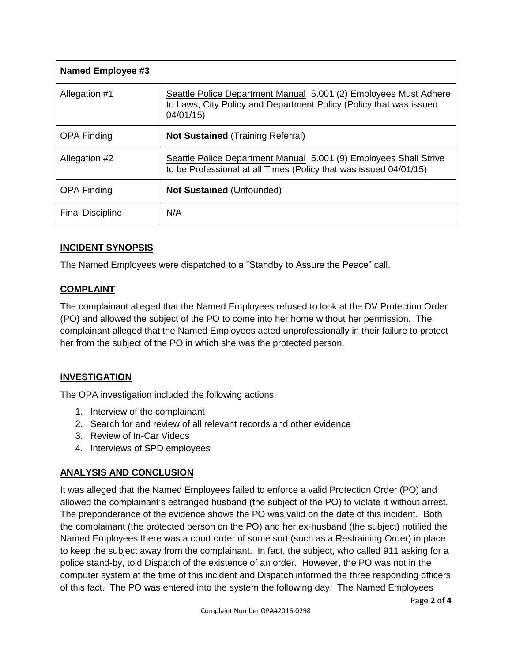| <b>Named Employee #3</b> |                                                                                                                                                    |
|--------------------------|----------------------------------------------------------------------------------------------------------------------------------------------------|
| Allegation #1            | Seattle Police Department Manual 5.001 (2) Employees Must Adhere<br>to Laws, City Policy and Department Policy (Policy that was issued<br>04/01/15 |
| <b>OPA Finding</b>       | <b>Not Sustained (Training Referral)</b>                                                                                                           |
| Allegation #2            | Seattle Police Department Manual 5.001 (9) Employees Shall Strive<br>to be Professional at all Times (Policy that was issued 04/01/15)             |
| <b>OPA Finding</b>       | <b>Not Sustained (Unfounded)</b>                                                                                                                   |
| <b>Final Discipline</b>  | N/A                                                                                                                                                |

#### **INCIDENT SYNOPSIS**

The Named Employees were dispatched to a "Standby to Assure the Peace" call.

#### **COMPLAINT**

The complainant alleged that the Named Employees refused to look at the DV Protection Order (PO) and allowed the subject of the PO to come into her home without her permission. The complainant alleged that the Named Employees acted unprofessionally in their failure to protect her from the subject of the PO in which she was the protected person.

#### **INVESTIGATION**

The OPA investigation included the following actions:

- 1. Interview of the complainant
- 2. Search for and review of all relevant records and other evidence
- 3. Review of In-Car Videos
- 4. Interviews of SPD employees

#### **ANALYSIS AND CONCLUSION**

It was alleged that the Named Employees failed to enforce a valid Protection Order (PO) and allowed the complainant's estranged husband (the subject of the PO) to violate it without arrest. The preponderance of the evidence shows the PO was valid on the date of this incident. Both the complainant (the protected person on the PO) and her ex-husband (the subject) notified the Named Employees there was a court order of some sort (such as a Restraining Order) in place to keep the subject away from the complainant. In fact, the subject, who called 911 asking for a police stand-by, told Dispatch of the existence of an order. However, the PO was not in the computer system at the time of this incident and Dispatch informed the three responding officers of this fact. The PO was entered into the system the following day. The Named Employees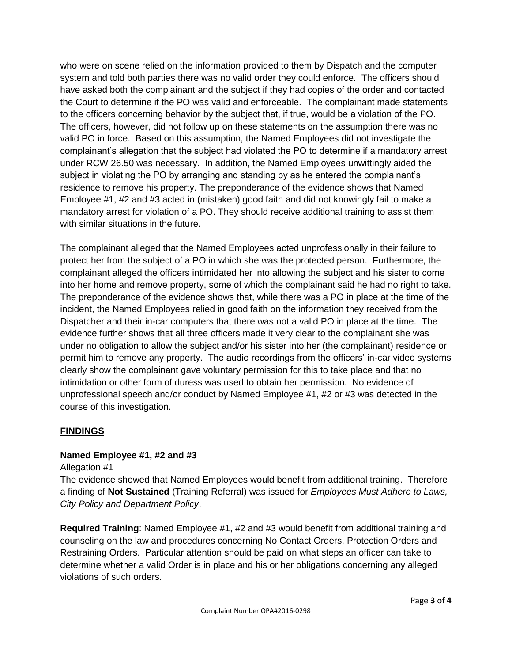who were on scene relied on the information provided to them by Dispatch and the computer system and told both parties there was no valid order they could enforce. The officers should have asked both the complainant and the subject if they had copies of the order and contacted the Court to determine if the PO was valid and enforceable. The complainant made statements to the officers concerning behavior by the subject that, if true, would be a violation of the PO. The officers, however, did not follow up on these statements on the assumption there was no valid PO in force. Based on this assumption, the Named Employees did not investigate the complainant's allegation that the subject had violated the PO to determine if a mandatory arrest under RCW 26.50 was necessary. In addition, the Named Employees unwittingly aided the subject in violating the PO by arranging and standing by as he entered the complainant's residence to remove his property. The preponderance of the evidence shows that Named Employee #1, #2 and #3 acted in (mistaken) good faith and did not knowingly fail to make a mandatory arrest for violation of a PO. They should receive additional training to assist them with similar situations in the future.

The complainant alleged that the Named Employees acted unprofessionally in their failure to protect her from the subject of a PO in which she was the protected person. Furthermore, the complainant alleged the officers intimidated her into allowing the subject and his sister to come into her home and remove property, some of which the complainant said he had no right to take. The preponderance of the evidence shows that, while there was a PO in place at the time of the incident, the Named Employees relied in good faith on the information they received from the Dispatcher and their in-car computers that there was not a valid PO in place at the time. The evidence further shows that all three officers made it very clear to the complainant she was under no obligation to allow the subject and/or his sister into her (the complainant) residence or permit him to remove any property. The audio recordings from the officers' in-car video systems clearly show the complainant gave voluntary permission for this to take place and that no intimidation or other form of duress was used to obtain her permission. No evidence of unprofessional speech and/or conduct by Named Employee #1, #2 or #3 was detected in the course of this investigation.

#### **FINDINGS**

#### **Named Employee #1, #2 and #3**

Allegation #1

The evidence showed that Named Employees would benefit from additional training. Therefore a finding of **Not Sustained** (Training Referral) was issued for *Employees Must Adhere to Laws, City Policy and Department Policy*.

**Required Training**: Named Employee #1, #2 and #3 would benefit from additional training and counseling on the law and procedures concerning No Contact Orders, Protection Orders and Restraining Orders. Particular attention should be paid on what steps an officer can take to determine whether a valid Order is in place and his or her obligations concerning any alleged violations of such orders.